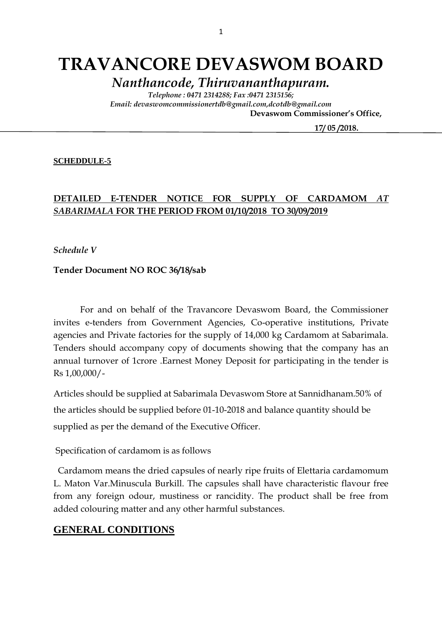# **TRAVANCORE DEVASWOM BOARD**

*Nanthancode, Thiruvananthapuram.*

*Telephone : 0471 2314288; Fax :0471 2315156; Email: devaswomcommissionertdb@gmail.com,dcotdb@gmail.com*  **Devaswom Commissioner's Office,**

 **17/ 05 /2018.**

#### **SCHEDDULE-5**

### **DETAILED E-TENDER NOTICE FOR SUPPLY OF CARDAMOM** *AT SABARIMALA* **FOR THE PERIOD FROM 01/10/2018 TO 30/09/2019**

*Schedule V*

#### **Tender Document NO ROC 36/18/sab**

For and on behalf of the Travancore Devaswom Board, the Commissioner invites e-tenders from Government Agencies, Co-operative institutions, Private agencies and Private factories for the supply of 14,000 kg Cardamom at Sabarimala. Tenders should accompany copy of documents showing that the company has an annual turnover of 1crore .Earnest Money Deposit for participating in the tender is Rs 1,00,000/-

Articles should be supplied at Sabarimala Devaswom Store at Sannidhanam.50% of the articles should be supplied before 01-10-2018 and balance quantity should be supplied as per the demand of the Executive Officer.

Specification of cardamom is as follows

 Cardamom means the dried capsules of nearly ripe fruits of Elettaria cardamomum L. Maton Var.Minuscula Burkill. The capsules shall have characteristic flavour free from any foreign odour, mustiness or rancidity. The product shall be free from added colouring matter and any other harmful substances.

#### **GENERAL CONDITIONS**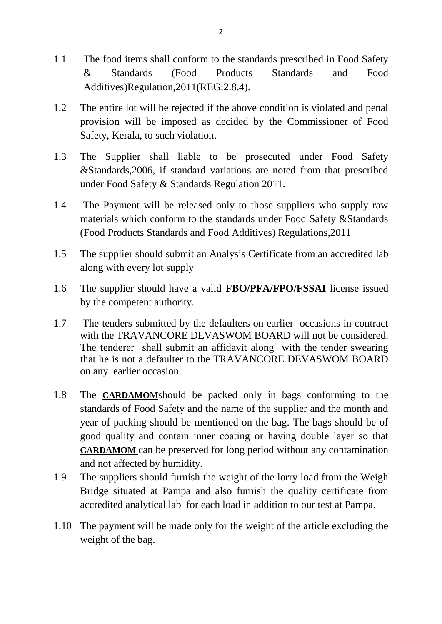- 1.1 The food items shall conform to the standards prescribed in Food Safety & Standards (Food Products Standards and Food Additives)Regulation,2011(REG:2.8.4).
- 1.2 The entire lot will be rejected if the above condition is violated and penal provision will be imposed as decided by the Commissioner of Food Safety, Kerala, to such violation.
- 1.3 The Supplier shall liable to be prosecuted under Food Safety &Standards,2006, if standard variations are noted from that prescribed under Food Safety & Standards Regulation 2011.
- 1.4 The Payment will be released only to those suppliers who supply raw materials which conform to the standards under Food Safety &Standards (Food Products Standards and Food Additives) Regulations,2011
- 1.5 The supplier should submit an Analysis Certificate from an accredited lab along with every lot supply
- 1.6 The supplier should have a valid **FBO/PFA/FPO/FSSAI** license issued by the competent authority.
- 1.7 The tenders submitted by the defaulters on earlier occasions in contract with the TRAVANCORE DEVASWOM BOARD will not be considered. The tenderer shall submit an affidavit along with the tender swearing that he is not a defaulter to the TRAVANCORE DEVASWOM BOARD on any earlier occasion.
- 1.8 The **CARDAMOM**should be packed only in bags conforming to the standards of Food Safety and the name of the supplier and the month and year of packing should be mentioned on the bag. The bags should be of good quality and contain inner coating or having double layer so that **CARDAMOM** can be preserved for long period without any contamination and not affected by humidity.
- 1.9 The suppliers should furnish the weight of the lorry load from the Weigh Bridge situated at Pampa and also furnish the quality certificate from accredited analytical lab for each load in addition to our test at Pampa.
- 1.10 The payment will be made only for the weight of the article excluding the weight of the bag.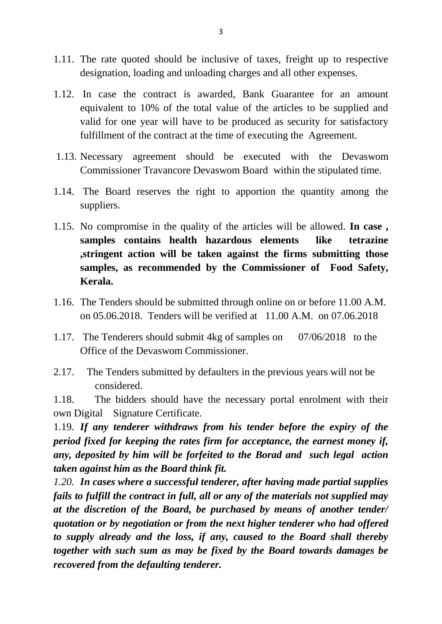- 1.11. The rate quoted should be inclusive of taxes, freight up to respective designation, loading and unloading charges and all other expenses.
- 1.12. In case the contract is awarded, Bank Guarantee for an amount equivalent to 10% of the total value of the articles to be supplied and valid for one year will have to be produced as security for satisfactory fulfillment of the contract at the time of executing the Agreement.
- 1.13. Necessary agreement should be executed with the Devaswom Commissioner Travancore Devaswom Board within the stipulated time.
- 1.14. The Board reserves the right to apportion the quantity among the suppliers.
- 1.15. No compromise in the quality of the articles will be allowed. **In case , samples contains health hazardous elements like tetrazine ,stringent action will be taken against the firms submitting those samples, as recommended by the Commissioner of Food Safety, Kerala.**
- 1.16. The Tenders should be submitted through online on or before 11.00 A.M. on 05.06.2018. Tenders will be verified at 11.00 A.M. on 07.06.2018
- 1.17. The Tenderers should submit 4kg of samples on 07/06/2018 to the Office of the Devaswom Commissioner.
- 2.17. The Tenders submitted by defaulters in the previous years will not be considered.

1.18. The bidders should have the necessary portal enrolment with their own Digital Signature Certificate.

1.19. *If any tenderer withdraws from his tender before the expiry of the period fixed for keeping the rates firm for acceptance, the earnest money if, any, deposited by him will be forfeited to the Borad and such legal action taken against him as the Board think fit.*

*1.20. In cases where a successful tenderer, after having made partial supplies fails to fulfill the contract in full, all or any of the materials not supplied may at the discretion of the Board, be purchased by means of another tender/ quotation or by negotiation or from the next higher tenderer who had offered to supply already and the loss, if any, caused to the Board shall thereby together with such sum as may be fixed by the Board towards damages be recovered from the defaulting tenderer.*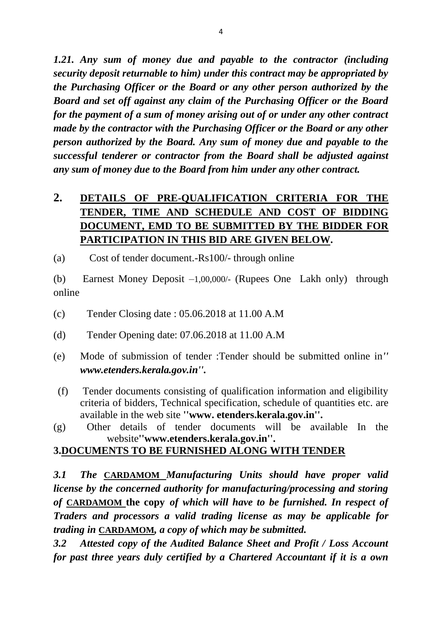*1.21. Any sum of money due and payable to the contractor (including security deposit returnable to him) under this contract may be appropriated by the Purchasing Officer or the Board or any other person authorized by the Board and set off against any claim of the Purchasing Officer or the Board for the payment of a sum of money arising out of or under any other contract made by the contractor with the Purchasing Officer or the Board or any other person authorized by the Board. Any sum of money due and payable to the successful tenderer or contractor from the Board shall be adjusted against any sum of money due to the Board from him under any other contract.*

# **2. DETAILS OF PRE-QUALIFICATION CRITERIA FOR THE TENDER, TIME AND SCHEDULE AND COST OF BIDDING DOCUMENT, EMD TO BE SUBMITTED BY THE BIDDER FOR PARTICIPATION IN THIS BID ARE GIVEN BELOW.**

(a) Cost of tender document.-Rs100/- through online

(b) Earnest Money Deposit –1,00,000/- (Rupees One Lakh only) through online

- (c) Tender Closing date : 05.06.2018 at 11.00 A.M
- (d) Tender Opening date: 07.06.2018 at 11.00 A.M
- (e) Mode of submission of tender :Tender should be submitted online in*'' www.etenders.kerala.gov.in''.*
- (f) Tender documents consisting of qualification information and eligibility criteria of bidders, Technical specification, schedule of quantities etc. are available in the web site **''www. etenders.kerala.gov.in''.**
- (g) Other details of tender documents will be available In the website**''www.etenders.kerala.gov.in''.**

## **3.DOCUMENTS TO BE FURNISHED ALONG WITH TENDER**

*3.1 The* **CARDAMOM** *Manufacturing Units should have proper valid license by the concerned authority for manufacturing/processing and storing of* **CARDAMOM the copy** *of which will have to be furnished. In respect of Traders and processors a valid trading license as may be applicable for trading in* **CARDAMOM***, a copy of which may be submitted.*

*3.2 Attested copy of the Audited Balance Sheet and Profit / Loss Account for past three years duly certified by a Chartered Accountant if it is a own*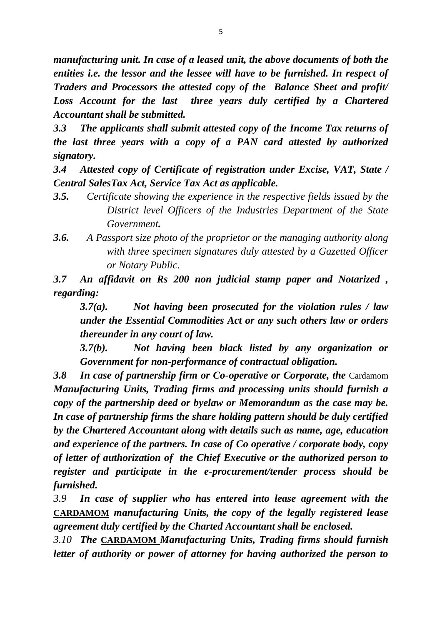*manufacturing unit. In case of a leased unit, the above documents of both the entities i.e. the lessor and the lessee will have to be furnished. In respect of Traders and Processors the attested copy of the Balance Sheet and profit/*  Loss Account for the last three years duly certified by a Chartered *Accountant shall be submitted.*

*3.3 The applicants shall submit attested copy of the Income Tax returns of the last three years with a copy of a PAN card attested by authorized signatory.*

*3.4 Attested copy of Certificate of registration under Excise, VAT, State / Central SalesTax Act, Service Tax Act as applicable.*

- *3.5. Certificate showing the experience in the respective fields issued by the District level Officers of the Industries Department of the State Government.*
- *3.6. A Passport size photo of the proprietor or the managing authority along with three specimen signatures duly attested by a Gazetted Officer or Notary Public.*

*3.7 An affidavit on Rs 200 non judicial stamp paper and Notarized , regarding:*

*3.7(a). Not having been prosecuted for the violation rules / law under the Essential Commodities Act or any such others law or orders thereunder in any court of law.*

*3.7(b). Not having been black listed by any organization or Government for non-performance of contractual obligation.*

**3.8 In case of partnership firm or Co-operative or Corporate, the Cardamom** *Manufacturing Units, Trading firms and processing units should furnish a copy of the partnership deed or byelaw or Memorandum as the case may be. In case of partnership firms the share holding pattern should be duly certified by the Chartered Accountant along with details such as name, age, education and experience of the partners. In case of Co operative / corporate body, copy of letter of authorization of the Chief Executive or the authorized person to register and participate in the e-procurement/tender process should be furnished.*

*3.9 In case of supplier who has entered into lease agreement with the*  **CARDAMOM** *manufacturing Units, the copy of the legally registered lease agreement duly certified by the Charted Accountant shall be enclosed.*

*3.10 The* **CARDAMOM** *Manufacturing Units, Trading firms should furnish letter of authority or power of attorney for having authorized the person to*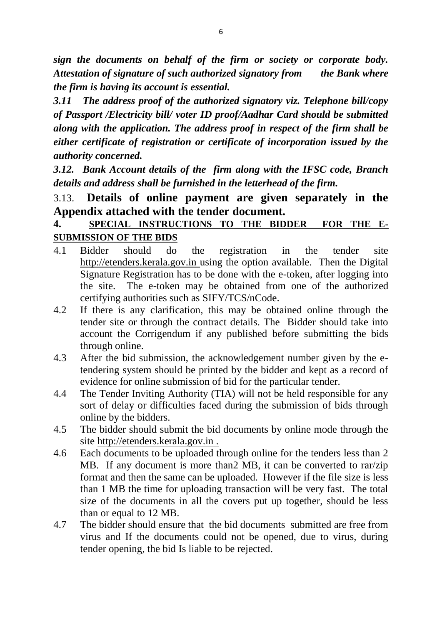*sign the documents on behalf of the firm or society or corporate body. Attestation of signature of such authorized signatory from the Bank where the firm is having its account is essential.*

*3.11 The address proof of the authorized signatory viz. Telephone bill/copy of Passport /Electricity bill/ voter ID proof/Aadhar Card should be submitted along with the application. The address proof in respect of the firm shall be either certificate of registration or certificate of incorporation issued by the authority concerned.*

*3.12. Bank Account details of the firm along with the IFSC code, Branch details and address shall be furnished in the letterhead of the firm.*

## 3.13. **Details of online payment are given separately in the Appendix attached with the tender document.**

## **4. SPECIAL INSTRUCTIONS TO THE BIDDER FOR THE E-SUBMISSION OF THE BIDS**

- 4.1 Bidder should do the registration in the tender site http://etenders.kerala.gov.in using the option available. Then the Digital Signature Registration has to be done with the e-token, after logging into the site. The e-token may be obtained from one of the authorized certifying authorities such as SIFY/TCS/nCode.
- 4.2 If there is any clarification, this may be obtained online through the tender site or through the contract details. The Bidder should take into account the Corrigendum if any published before submitting the bids through online.
- 4.3 After the bid submission, the acknowledgement number given by the etendering system should be printed by the bidder and kept as a record of evidence for online submission of bid for the particular tender.
- 4.4 The Tender Inviting Authority (TIA) will not be held responsible for any sort of delay or difficulties faced during the submission of bids through online by the bidders.
- 4.5 The bidder should submit the bid documents by online mode through the site http://etenders.kerala.gov.in .
- 4.6 Each documents to be uploaded through online for the tenders less than 2 MB. If any document is more than2 MB, it can be converted to rar/zip format and then the same can be uploaded. However if the file size is less than 1 MB the time for uploading transaction will be very fast. The total size of the documents in all the covers put up together, should be less than or equal to 12 MB.
- 4.7 The bidder should ensure that the bid documents submitted are free from virus and If the documents could not be opened, due to virus, during tender opening, the bid Is liable to be rejected.